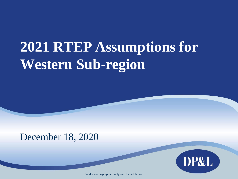# **2021 RTEP Assumptions for Western Sub-region**

## December 18, 2020



For discussion purposes only - not for distribution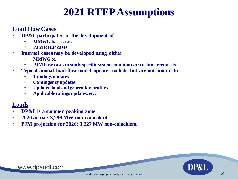## **2021 RTEP Assumptions**

## **Load Flow Cases**

- **DP&L participates in the development of**
	- **MMWG base cases**
	- **PJM RTEP cases**
- **Internal cases may be developed using either** 
	- **MMWG or**
	- **PJM base cases to study specific system conditions or customer requests**
- **Typical annual load flow model updates include but are not limited to** 
	- **Topology updates**
	- **Contingency updates**
	- **Updated load and generation profiles**
	- **Applicable ratings updates, etc.**

## **Loads**

- **DP&L is a summer peaking zone**
- **2020 actual: 3,296 MW non-coincident**
- **PJM projection for 2026: 3,227 MW non-coincident**

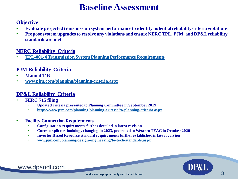## **Baseline Assessment**

### **Objective**

- **Evaluate projected transmission system performance to identify potential reliability criteria violations**
- **Propose system upgrades to resolve any violations and ensure NERC TPL, PJM, and DP&L reliability standards are met**

### **NERC Reliability Criteria**

• **[TPL-001-4 Transmission System Planning Performance Requirements](https://www.nerc.com/_layouts/15/PrintStandard.aspx?standardnumber=TPL-001-4&title=Transmission%20System%20Planning%20Performance%20Requirements&jurisdiction=United%20States)**

### **PJM Reliability Criteria**

- **Manual 14B**
- **[www.pjm.com/planning/planning-criteria.aspx](https://www.pjm.com/planning/planning-criteria/pjm-planning-criteria.aspx)**

### **DP&L Reliability Criteria**

- **FERC 715 filing**
	- **Updated criteria presented to Planning Committee in September 2019**
	- **<https://www.pjm.com/planning/planning-criteria/to-planning-criteria.aspx>**
- **Facility Connection Requirements**
	- **Configuration requirements further detailed in latest revision**
	- **Current split methodology changing in 2023, presented to Western TEAC in October 2020**
	- **Inverter Based Resource standard requirements further established in latest version**
	- **[www.pjm.com/planning/design-engineering/to-tech-standards.aspx](https://www.pjm.com/planning/design-engineering/to-tech-standards.aspx)**

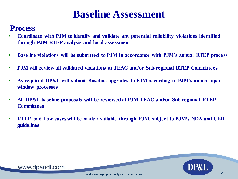## **Baseline Assessment**

## **Process**

- **Coordinate with PJM to identify and validate any potential reliability violations identified through PJM RTEP analysis and local assessment**
- **Baseline violations will be submitted to PJM in accordance with PJM's annual RTEP process**
- **PJM will review all validated violations at TEAC and/or Sub-regional RTEP Committees**
- **As required DP&L will submit Baseline upgrades to PJM according to PJM's annual open window processes**
- **All DP&L baseline proposals will be reviewed at PJM TEAC and/or Sub-regional RTEP Committees**
- **RTEP load flow cases will be made available through PJM, subject to PJM's NDA and CEII guidelines**

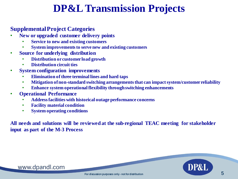## **DP&L Transmission Projects**

## **Supplemental Project Categories**

- **New or upgraded customer delivery points** 
	- **Service to new and existing customers**
	- **System improvements to serve new and existing customers**
- **Source for underlying distribution**
	- **Distribution or customer load growth**
	- **Distribution circuit ties**
- **System configuration improvements**
	- **Elimination of three terminal lines and hard taps**
	- **Mitigation of non-standard switching arrangements that can impact system/customer reliability**
	- **Enhance system operational flexibility through switching enhancements**
- **Operational Performance**
	- **Address facilities with historical outage performance concerns**
	- **Facility material condition**
	- **System operating conditions**

**All needs and solutions will be reviewed at the sub-regional TEAC meeting for stakeholder input as part of the M-3 Process**

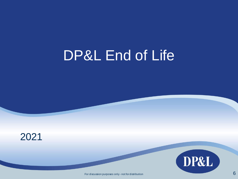# DP&L End of Life





For discussion purposes only - not for distribution 6 and 1 and 1 and 1 and 1 and 1 and 1 and 1 and 1 and 1 and 1 and 1 and 1 and 1 and 1 and 1 and 1 and 1 and 1 and 1 and 1 and 1 and 1 and 1 and 1 and 1 and 1 and 1 and 1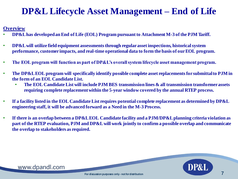## **DP&L Lifecycle Asset Management – End of Life**

### **Overview**

- **DP&L has developed an End of Life (EOL) Program pursuant to Attachment M-3 of the PJM Tariff.**
- **DP&L will utilize field equipment assessments through regular asset inspections, historical system performance, customer impacts, and real-time operational data to form the basis of our EOL program.**
- **The EOL program will function as part of DP&L's overall system lifecycle asset management program.**
- **The DP&L EOL program will specifically identify possible complete asset replacements for submittal to PJM in the form of an EOL Candidate List.** 
	- **The EOL Candidate List will include PJM BES transmission lines & all transmission transformer assets requiring complete replacement within the 5-year window covered by the annual RTEP process.**
- **If a facility listed in the EOL Candidate List requires potential complete replacement as determined by DP&L engineering staff, it will be advanced forward as a Need in the M-3 Process.**
- **If there is an overlap between a DP&L EOL Candidate facility and a PJM/DP&L planning criteria violation as part of the RTEP evaluation, PJM and DP&L will work jointly to confirm a possible overlap and communicate the overlap to stakeholders as required.**



DP&I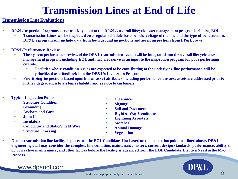## **Transmission Lines at End of Life**

#### **Transmission Line Evaluations**

- **DP&L Inspection Programs serve as a key input to the DP&L's overall lifecycle asset management program including EOL.**
	- **Transmission Lines will be inspected on a regular schedule based on the voltage of the line and the type of construction.**
	- **DP&L's program will include data from both ground inspections and aerial inspections from DP&L crews.**
- **DP&L Performance Review**
	- **The system performance review of the DP&L transmission system will be integrated into the overall lifecycle asset management program including EOL and may also serve as an input to the inspection program for poor performing circuits.**
		- **Facilities where condition issues are expected to be contributing to the underlying line performance will be prioritized as a feedback into the DP&L's Inspection Program.**
	- **Prioritizing inspections based upon known asset attributes including performance ensures assets are addressed prior to further degradation to system reliability and service to customers.**
- **Typical Inspection Points**
	- **Structure Condition**
	- **Grounding**
	- **Anchors and Guys**
	- **Joint Use**
	- **Insulators**
	- **Conductor and Static/Shield Wire**
	- **Structure Crossing**
- **Clearance**
- **Signage**
- **Soil and Pavement**
- **Right of Way Conditions**
- **Lightning Arresters**
- **Switches**
- **Animal Damage**
- **Vegetation**
- **Once a transmission line facility is placed on the EOL Candidate List based on the inspection points outlined above, DP&L engineering staff may consider the complete line condition, maintenance history, current design standards, performance, ability to do corrective maintenance, and other factors before the facility is advanced from the EOL Candidate List to a Need in the M-3 Process.**